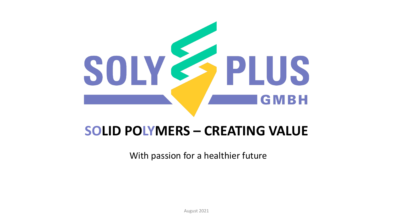

# **SOLID POLYMERS – CREATING VALUE**

With passion for a healthier future

August 2021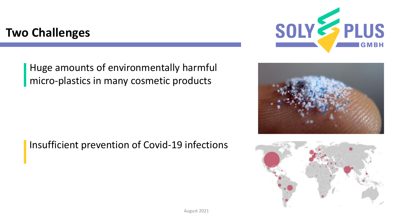## **Two Challenges**

Huge amounts of environmentally harmful micro-plastics in many cosmetic products

Insufficient prevention of Covid-19 infections





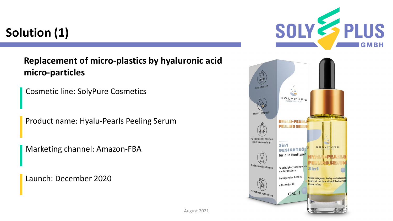# **Solution (1)**

### **Replacement of micro-plastics by hyaluronic acid micro-particles**

Cosmetic line: SolyPure Cosmetics

Product name: Hyalu-Pearls Peeling Serum

Marketing channel: Amazon-FBA

Launch: December 2020



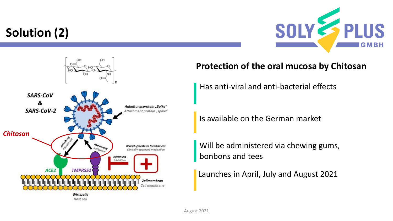# **Solution (2)**





#### **Protection of the oral mucosa by Chitosan**

Has anti-viral and anti-bacterial effects

Is available on the German market

Will be administered via chewing gums, bonbons and tees

Launches in April, July and August 2021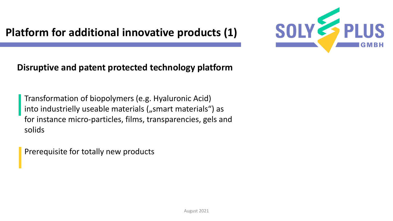## **Platform for additional innovative products (1)**



### **Disruptive and patent protected technology platform**

Transformation of biopolymers (e.g. Hyaluronic Acid) into industrielly useable materials ("smart materials") as for instance micro-particles, films, transparencies, gels and solids

Prerequisite for totally new products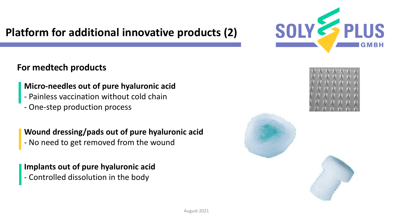### **Platform for additional innovative products (2)**

### **For medtech products**

#### **Micro-needles out of pure hyaluronic acid**

- Painless vaccination without cold chain
- One-step production process

#### **Wound dressing/pads out of pure hyaluronic acid**

- No need to get removed from the wound

#### **Implants out of pure hyaluronic acid** - Controlled dissolution in the body





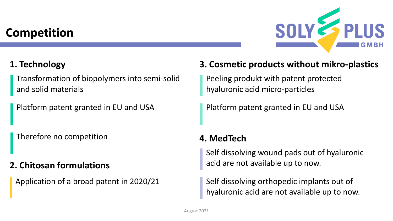## **Competition**



### **1. Technology**

Transformation of biopolymers into semi-solid and solid materials

Platform patent granted in EU and USA

Therefore no competition

### **2. Chitosan formulations**

Application of a broad patent in 2020/21

### **3. Cosmetic products without mikro-plastics**

Peeling produkt with patent protected hyaluronic acid micro-particles

Platform patent granted in EU and USA

### **4. MedTech**

Self dissolving wound pads out of hyaluronic acid are not available up to now.

Self dissolving orthopedic implants out of hyaluronic acid are not available up to now.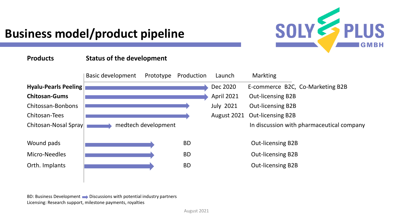

# **Business model/product pipeline**

#### **Products Status of the development**



BD: Business Development  $\longrightarrow$  Discussions with potential industry partners Licensing: Research support, milestone payments, royalties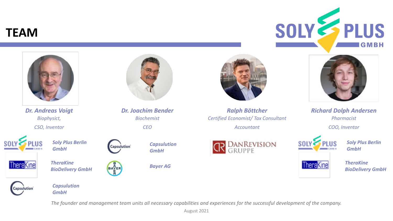### **TEAM**





The founder and management team units all necessary capabilities and experiences for the successful development of the company.

August 2021